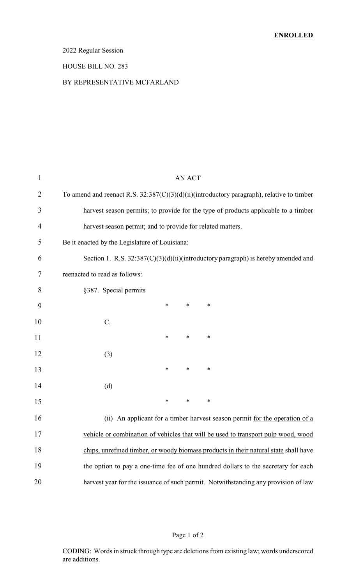### 2022 Regular Session

#### HOUSE BILL NO. 283

#### BY REPRESENTATIVE MCFARLAND

| $\mathbf 1$    | <b>AN ACT</b>                                                                                |
|----------------|----------------------------------------------------------------------------------------------|
| $\overline{2}$ | To amend and reenact R.S. $32:387(C)(3)(d)(ii)(introductory paragraph)$ , relative to timber |
| 3              | harvest season permits; to provide for the type of products applicable to a timber           |
| 4              | harvest season permit; and to provide for related matters.                                   |
| 5              | Be it enacted by the Legislature of Louisiana:                                               |
| 6              | Section 1. R.S. 32:387(C)(3)(d)(ii)(introductory paragraph) is hereby amended and            |
| 7              | reenacted to read as follows:                                                                |
| 8              | §387. Special permits                                                                        |
| 9              | *<br>*<br>∗                                                                                  |
| 10             | $C$ .                                                                                        |
| 11             | ∗<br>*<br>∗                                                                                  |
| 12             | (3)                                                                                          |
| 13             | $\ast$<br>*<br>∗                                                                             |
| 14             | (d)                                                                                          |
| 15             | $\ast$<br>$\ast$<br>∗                                                                        |
| 16             | (ii) An applicant for a timber harvest season permit for the operation of a                  |
| 17             | vehicle or combination of vehicles that will be used to transport pulp wood, wood            |
| 18             | chips, unrefined timber, or woody biomass products in their natural state shall have         |
| 19             | the option to pay a one-time fee of one hundred dollars to the secretary for each            |
| 20             | harvest year for the issuance of such permit. Notwithstanding any provision of law           |
|                |                                                                                              |

### Page 1 of 2

CODING: Words in struck through type are deletions from existing law; words underscored are additions.